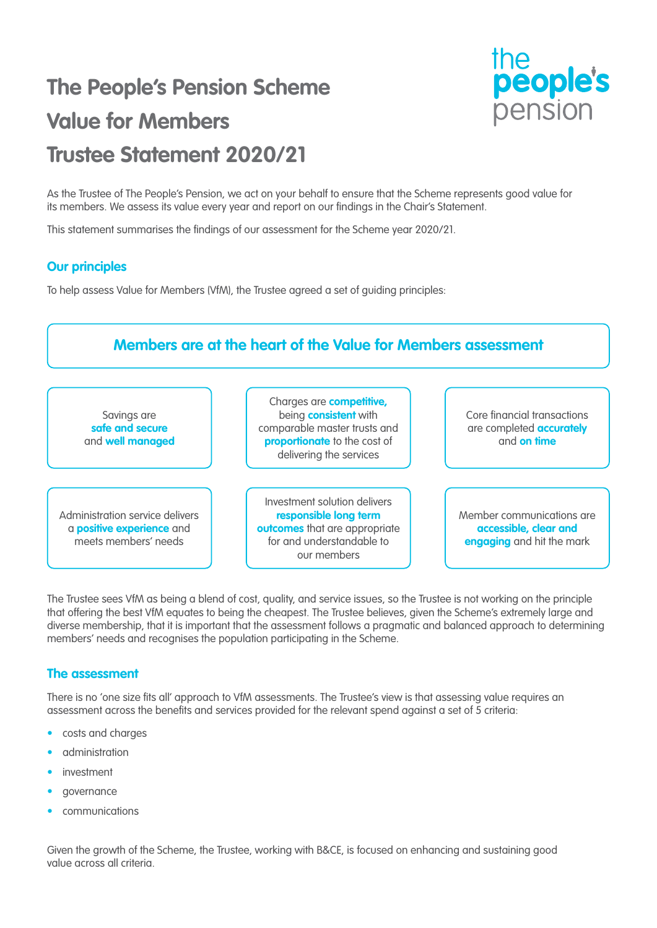## **The People's Pension Scheme Value for Members Trustee Statement 2020/21**



As the Trustee of The People's Pension, we act on your behalf to ensure that the Scheme represents good value for its members. We assess its value every year and report on our findings in the Chair's Statement.

This statement summarises the findings of our assessment for the Scheme year 2020/21.

## **Our principles**

To help assess Value for Members (VfM), the Trustee agreed a set of guiding principles:



The Trustee sees VfM as being a blend of cost, quality, and service issues, so the Trustee is not working on the principle that offering the best VfM equates to being the cheapest. The Trustee believes, given the Scheme's extremely large and diverse membership, that it is important that the assessment follows a pragmatic and balanced approach to determining members' needs and recognises the population participating in the Scheme.

## **The assessment**

There is no 'one size fits all' approach to VfM assessments. The Trustee's view is that assessing value requires an assessment across the benefits and services provided for the relevant spend against a set of 5 criteria:

- costs and charges
- administration
- investment
- governance
- communications

Given the growth of the Scheme, the Trustee, working with B&CE, is focused on enhancing and sustaining good value across all criteria.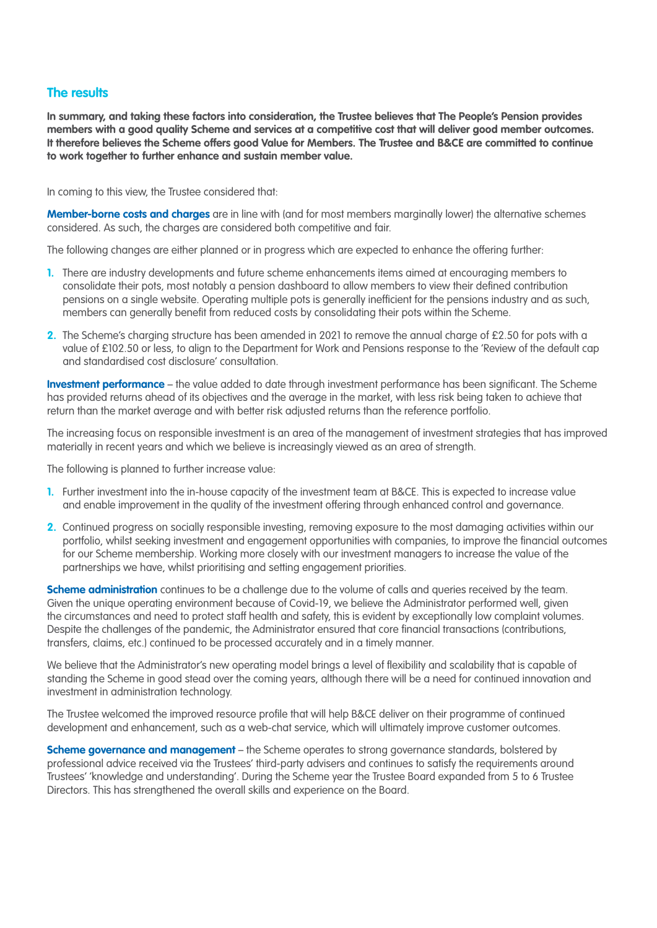## **The results**

**In summary, and taking these factors into consideration, the Trustee believes that The People's Pension provides members with a good quality Scheme and services at a competitive cost that will deliver good member outcomes. It therefore believes the Scheme offers good Value for Members. The Trustee and B&CE are committed to continue to work together to further enhance and sustain member value.**

In coming to this view, the Trustee considered that:

**Member-borne costs and charges** are in line with (and for most members marginally lower) the alternative schemes considered. As such, the charges are considered both competitive and fair.

The following changes are either planned or in progress which are expected to enhance the offering further:

- **1.** There are industry developments and future scheme enhancements items aimed at encouraging members to consolidate their pots, most notably a pension dashboard to allow members to view their defined contribution pensions on a single website. Operating multiple pots is generally inefficient for the pensions industry and as such, members can generally benefit from reduced costs by consolidating their pots within the Scheme.
- **2.** The Scheme's charging structure has been amended in 2021 to remove the annual charge of £2.50 for pots with a value of £102.50 or less, to align to the Department for Work and Pensions response to the 'Review of the default cap and standardised cost disclosure' consultation.

**Investment performance** – the value added to date through investment performance has been significant. The Scheme has provided returns ahead of its objectives and the average in the market, with less risk being taken to achieve that return than the market average and with better risk adjusted returns than the reference portfolio.

The increasing focus on responsible investment is an area of the management of investment strategies that has improved materially in recent years and which we believe is increasingly viewed as an area of strength.

The following is planned to further increase value:

- **1.** Further investment into the in-house capacity of the investment team at B&CE. This is expected to increase value and enable improvement in the quality of the investment offering through enhanced control and governance.
- 2. Continued progress on socially responsible investing, removing exposure to the most damaging activities within our portfolio, whilst seeking investment and engagement opportunities with companies, to improve the financial outcomes for our Scheme membership. Working more closely with our investment managers to increase the value of the partnerships we have, whilst prioritising and setting engagement priorities.

**Scheme administration** continues to be a challenge due to the volume of calls and queries received by the team. Given the unique operating environment because of Covid-19, we believe the Administrator performed well, given the circumstances and need to protect staff health and safety, this is evident by exceptionally low complaint volumes. Despite the challenges of the pandemic, the Administrator ensured that core financial transactions (contributions, transfers, claims, etc.) continued to be processed accurately and in a timely manner.

We believe that the Administrator's new operating model brings a level of flexibility and scalability that is capable of standing the Scheme in good stead over the coming years, although there will be a need for continued innovation and investment in administration technology.

The Trustee welcomed the improved resource profile that will help B&CE deliver on their programme of continued development and enhancement, such as a web-chat service, which will ultimately improve customer outcomes.

**Scheme governance and management** – the Scheme operates to strong governance standards, bolstered by professional advice received via the Trustees' third-party advisers and continues to satisfy the requirements around Trustees' 'knowledge and understanding'. During the Scheme year the Trustee Board expanded from 5 to 6 Trustee Directors. This has strengthened the overall skills and experience on the Board.